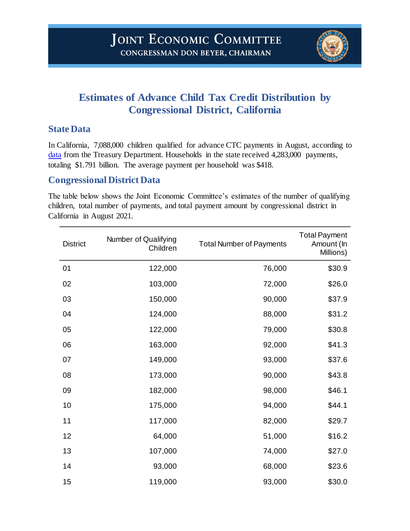

## **Estimates of Advance Child Tax Credit Distribution by Congressional District, California**

## **State Data**

In California, 7,088,000 children qualified for advance CTC payments in August, according to [data](https://home.treasury.gov/news/press-releases/jy0322) from the Treasury Department. Households in the state received 4,283,000 payments, totaling \$1.791 billion. The average payment per household was \$418.

## **Congressional District Data**

The table below shows the Joint Economic Committee's estimates of the number of qualifying children, total number of payments, and total payment amount by congressional district in California in August 2021.

| <b>District</b> | Number of Qualifying<br>Children | <b>Total Number of Payments</b> | <b>Total Payment</b><br>Amount (In<br>Millions) |
|-----------------|----------------------------------|---------------------------------|-------------------------------------------------|
| 01              | 122,000                          | 76,000                          | \$30.9                                          |
| 02              | 103,000                          | 72,000                          | \$26.0                                          |
| 03              | 150,000                          | 90,000                          | \$37.9                                          |
| 04              | 124,000                          | 88,000                          | \$31.2                                          |
| 05              | 122,000                          | 79,000                          | \$30.8                                          |
| 06              | 163,000                          | 92,000                          | \$41.3                                          |
| 07              | 149,000                          | 93,000                          | \$37.6                                          |
| 08              | 173,000                          | 90,000                          | \$43.8                                          |
| 09              | 182,000                          | 98,000                          | \$46.1                                          |
| 10              | 175,000                          | 94,000                          | \$44.1                                          |
| 11              | 117,000                          | 82,000                          | \$29.7                                          |
| 12              | 64,000                           | 51,000                          | \$16.2                                          |
| 13              | 107,000                          | 74,000                          | \$27.0                                          |
| 14              | 93,000                           | 68,000                          | \$23.6                                          |
| 15              | 119,000                          | 93,000                          | \$30.0                                          |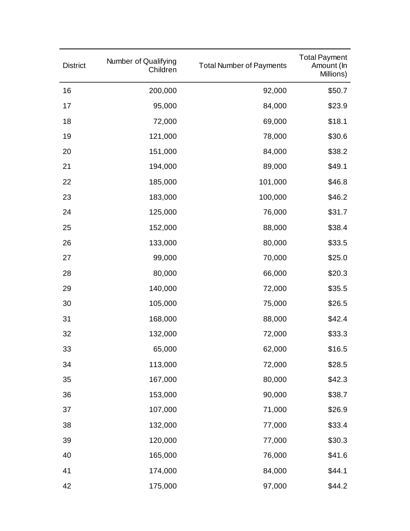| <b>District</b> | Number of Qualifying<br>Children | <b>Total Number of Payments</b> | <b>Total Payment</b><br>Amount (In<br>Millions) |
|-----------------|----------------------------------|---------------------------------|-------------------------------------------------|
| 16              | 200,000                          | 92,000                          | \$50.7                                          |
| 17              | 95,000                           | 84,000                          | \$23.9                                          |
| 18              | 72,000                           | 69,000                          | \$18.1                                          |
| 19              | 121,000                          | 78,000                          | \$30.6                                          |
| 20              | 151,000                          | 84,000                          | \$38.2                                          |
| 21              | 194,000                          | 89,000                          | \$49.1                                          |
| 22              | 185,000                          | 101,000                         | \$46.8                                          |
| 23              | 183,000                          | 100,000                         | \$46.2                                          |
| 24              | 125,000                          | 76,000                          | \$31.7                                          |
| 25              | 152,000                          | 88,000                          | \$38.4                                          |
| 26              | 133,000                          | 80,000                          | \$33.5                                          |
| 27              | 99,000                           | 70,000                          | \$25.0                                          |
| 28              | 80,000                           | 66,000                          | \$20.3                                          |
| 29              | 140,000                          | 72,000                          | \$35.5                                          |
| 30              | 105,000                          | 75,000                          | \$26.5                                          |
| 31              | 168,000                          | 88,000                          | \$42.4                                          |
| 32              | 132,000                          | 72,000                          | \$33.3                                          |
| 33              | 65,000                           | 62,000                          | \$16.5                                          |
| 34              | 113,000                          | 72,000                          | \$28.5                                          |
| 35              | 167,000                          | 80,000                          | \$42.3                                          |
| 36              | 153,000                          | 90,000                          | \$38.7                                          |
| 37              | 107,000                          | 71,000                          | \$26.9                                          |
| 38              | 132,000                          | 77,000                          | \$33.4                                          |
| 39              | 120,000                          | 77,000                          | \$30.3                                          |
| 40              | 165,000                          | 76,000                          | \$41.6                                          |
| 41              | 174,000                          | 84,000                          | \$44.1                                          |
| 42              | 175,000                          | 97,000                          | \$44.2                                          |